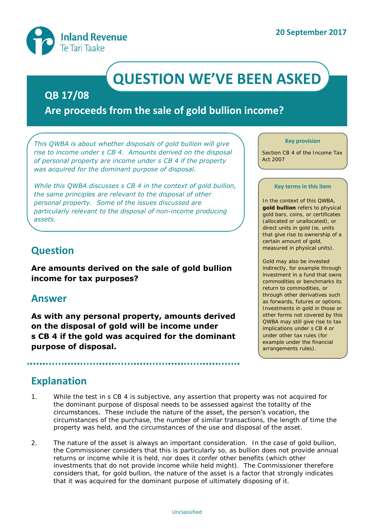

# **QUESTION WE'VE BEEN ASKED**

### **QB 17/08**

**Are proceeds from the sale of gold bullion income?**

*This QWBA is about whether disposals of gold bullion will give rise to income under s CB 4. Amounts derived on the disposal of personal property are income under s CB 4 if the property was acquired for the dominant purpose of disposal.*

*While this QWBA discusses s CB 4 in the context of gold bullion, the same principles are relevant to the disposal of other personal property. Some of the issues discussed are particularly relevant to the disposal of non-income producing assets.*

# **Question**

**Are amounts derived on the sale of gold bullion income for tax purposes?** 

### **Answer**

**As with any personal property, amounts derived on the disposal of gold will be income under s CB 4 if the gold was acquired for the dominant purpose of disposal.**

#### **Key provision**

Section CB 4 of the Income Tax Act 2007

#### **Key terms in this item**

In the context of this QWBA, **gold bullion** refers to physical gold bars, coins, or certificates (allocated or unallocated), or direct units in gold (ie, units that give rise to ownership of a certain amount of gold, measured in physical units).

Gold may also be invested indirectly, for example through investment in a fund that owns commodities or benchmarks its return to commodities, or through other derivatives such as forwards, futures or options. Investments in gold in those or other forms not covered by this QWBA may still give rise to tax implications under s CB 4 or under other tax rules (for example under the financial arrangements rules).

# **Explanation**

- 1. While the test in s CB 4 is subjective, any assertion that property was not acquired for the dominant purpose of disposal needs to be assessed against the totality of the circumstances. These include the nature of the asset, the person's vocation, the circumstances of the purchase, the number of similar transactions, the length of time the property was held, and the circumstances of the use and disposal of the asset.
- 2. The nature of the asset is always an important consideration. In the case of gold bullion, the Commissioner considers that this is particularly so, as bullion does not provide annual returns or income while it is held, nor does it confer other benefits (which other investments that do not provide income while held might). The Commissioner therefore considers that, for gold bullion, the nature of the asset is a factor that strongly indicates that it was acquired for the dominant purpose of ultimately disposing of it.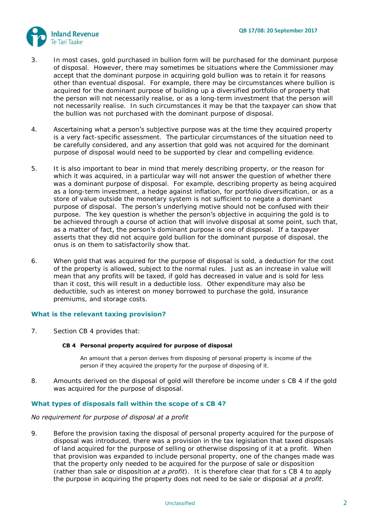

- 3. In most cases, gold purchased in bullion form will be purchased for the dominant purpose of disposal. However, there may sometimes be situations where the Commissioner may accept that the dominant purpose in acquiring gold bullion was to retain it for reasons other than eventual disposal. For example, there may be circumstances where bullion is acquired for the dominant purpose of building up a diversified portfolio of property that the person will not necessarily realise, or as a long-term investment that the person will not necessarily realise. In such circumstances it may be that the taxpayer can show that the bullion was not purchased with the dominant purpose of disposal.
- 4. Ascertaining what a person's subjective purpose was at the time they acquired property is a very fact-specific assessment. The particular circumstances of the situation need to be carefully considered, and any assertion that gold was not acquired for the dominant purpose of disposal would need to be supported by clear and compelling evidence.
- 5. It is also important to bear in mind that merely describing property, or the reason for which it was acquired, in a particular way will not answer the question of whether there was a dominant purpose of disposal. For example, describing property as being acquired as a long-term investment, a hedge against inflation, for portfolio diversification, or as a store of value outside the monetary system is not sufficient to negate a dominant purpose of disposal. The person's underlying motive should not be confused with their purpose. The key question is whether the person's objective in acquiring the gold is to be achieved through a course of action that will involve disposal at some point, such that, as a matter of fact, the person's dominant purpose is one of disposal. If a taxpayer asserts that they did not acquire gold bullion for the dominant purpose of disposal, the onus is on them to satisfactorily show that.
- 6. When gold that was acquired for the purpose of disposal is sold, a deduction for the cost of the property is allowed, subject to the normal rules. Just as an increase in value will mean that any profits will be taxed, if gold has decreased in value and is sold for less than it cost, this will result in a deductible loss. Other expenditure may also be deductible, such as interest on money borrowed to purchase the gold, insurance premiums, and storage costs.

#### **What is the relevant taxing provision?**

7. Section CB 4 provides that:

#### **CB 4 Personal property acquired for purpose of disposal**

An amount that a person derives from disposing of personal property is income of the person if they acquired the property for the purpose of disposing of it.

8. Amounts derived on the disposal of gold will therefore be income under s CB 4 if the gold was acquired for the purpose of disposal.

#### **What types of disposals fall within the scope of s CB 4?**

#### *No requirement for purpose of disposal at a profit*

9. Before the provision taxing the disposal of personal property acquired for the purpose of disposal was introduced, there was a provision in the tax legislation that taxed disposals of land acquired for the purpose of selling or otherwise disposing of it at a profit. When that provision was expanded to include personal property, one of the changes made was that the property only needed to be acquired for the purpose of sale or disposition (rather than sale or disposition *at a profit*). It is therefore clear that for s CB 4 to apply the purpose in acquiring the property does not need to be sale or disposal *at a profit*.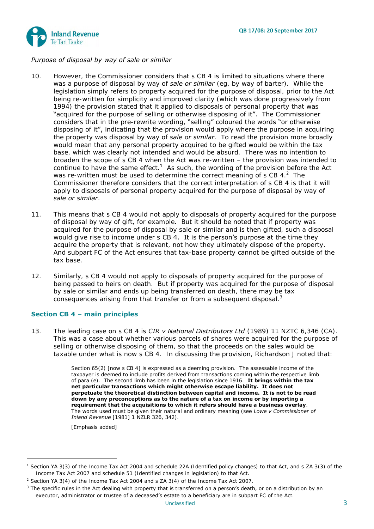



#### *Purpose of disposal by way of sale or similar*

- 10. However, the Commissioner considers that s CB 4 is limited to situations where there was a purpose of disposal by way of *sale or similar* (eg, by way of barter). While the legislation simply refers to property acquired for the purpose of disposal, prior to the Act being re-written for simplicity and improved clarity (which was done progressively from 1994) the provision stated that it applied to disposals of personal property that was "acquired for the purpose of selling or otherwise disposing of it". The Commissioner considers that in the pre-rewrite wording, "selling" coloured the words "or otherwise disposing of it", indicating that the provision would apply where the purpose in acquiring the property was disposal by way of *sale or similar*. To read the provision more broadly would mean that any personal property acquired to be gifted would be within the tax base, which was clearly not intended and would be absurd. There was no intention to broaden the scope of s CB 4 when the Act was re-written – the provision was intended to continue to have the same effect.<sup>1</sup> As such, the wording of the provision before the Act was re-written must be used to determine the correct meaning of s CB 4. $^2$  The Commissioner therefore considers that the correct interpretation of s CB 4 is that it will apply to disposals of personal property acquired for the purpose of disposal by way of *sale or similar*.
- 11. This means that s CB 4 would not apply to disposals of property acquired for the purpose of disposal by way of gift, for example. But it should be noted that if property was acquired for the purpose of disposal by sale or similar and is then gifted, such a disposal would give rise to income under s CB 4. It is the person's purpose at the time they acquire the property that is relevant, not how they ultimately dispose of the property. And subpart FC of the Act ensures that tax-base property cannot be gifted outside of the tax base.
- 12. Similarly, s CB 4 would not apply to disposals of property acquired for the purpose of being passed to heirs on death. But if property was acquired for the purpose of disposal by sale or similar and ends up being transferred on death, there may be tax consequences arising from that transfer or from a subsequent disposal.<sup>3</sup>

#### **Section CB 4 – main principles**

13. The leading case on s CB 4 is *CIR v National Distributors Ltd* (1989) 11 NZTC 6,346 (CA). This was a case about whether various parcels of shares were acquired for the purpose of selling or otherwise disposing of them, so that the proceeds on the sales would be taxable under what is now s CB 4. In discussing the provision, Richardson J noted that:

> Section 65(2) [now s CB 4] is expressed as a deeming provision. The assessable income of the taxpayer is deemed to include profits derived from transactions coming within the respective limb of para (e). The second limb has been in the legislation since 1916. **It brings within the tax net particular transactions which might otherwise escape liability. It does not perpetuate the theoretical distinction between capital and income. It is not to be read down by any preconceptions as to the nature of a tax on income or by importing a requirement that the acquisitions to which it refers should have a business overlay**. The words used must be given their natural and ordinary meaning (see *Lowe v Commissioner of Inland Revenue* [1981] 1 NZLR 326, 342).

[Emphasis added]

-

<sup>1</sup> Section YA 3(3) of the Income Tax Act 2004 and schedule 22A (Identified policy changes) to that Act, and s ZA 3(3) of the Income Tax Act 2007 and schedule 51 (Identified changes in legislation) to that Act.

<sup>&</sup>lt;sup>2</sup> Section YA 3(4) of the Income Tax Act 2004 and s ZA 3(4) of the Income Tax Act 2007.

 $3$  The specific rules in the Act dealing with property that is transferred on a person's death, or on a distribution by an executor, administrator or trustee of a deceased's estate to a beneficiary are in subpart FC of the Act.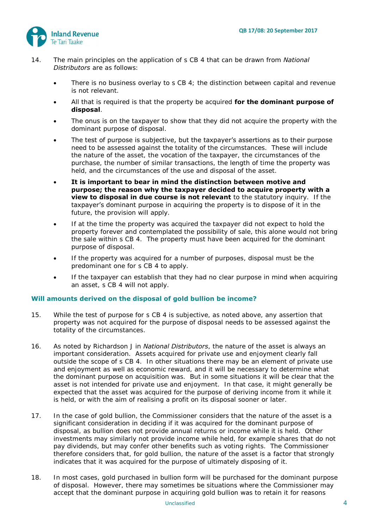

- <span id="page-3-0"></span>14. The main principles on the application of s CB 4 that can be drawn from *National Distributors* are as follows:
	- There is no business overlay to s CB 4; the distinction between capital and revenue is not relevant.
	- All that is required is that the property be acquired **for the dominant purpose of disposal**.
	- The onus is on the taxpayer to show that they did not acquire the property with the dominant purpose of disposal.
	- The test of purpose is subjective, but the taxpayer's assertions as to their purpose need to be assessed against the totality of the circumstances. These will include the nature of the asset, the vocation of the taxpayer, the circumstances of the purchase, the number of similar transactions, the length of time the property was held, and the circumstances of the use and disposal of the asset.
	- **It is important to bear in mind the distinction between motive and purpose; the reason why the taxpayer decided to acquire property with a view to disposal in due course is not relevant** to the statutory inquiry. If the taxpayer's dominant purpose in acquiring the property is to dispose of it in the future, the provision will apply.
	- If at the time the property was acquired the taxpayer did not expect to hold the property forever and contemplated the possibility of sale, this alone would not bring the sale within s CB 4. The property must have been acquired for the dominant purpose of disposal.
	- If the property was acquired for a number of purposes, disposal must be the predominant one for s CB 4 to apply.
	- If the taxpayer can establish that they had no clear purpose in mind when acquiring an asset, s CB 4 will not apply.

#### **Will amounts derived on the disposal of gold bullion be income?**

- 15. While the test of purpose for s CB 4 is subjective, as noted above, any assertion that property was not acquired for the purpose of disposal needs to be assessed against the totality of the circumstances.
- 16. As noted by Richardson J in *National Distributors*, the nature of the asset is always an important consideration. Assets acquired for private use and enjoyment clearly fall outside the scope of s CB 4. In other situations there may be an element of private use and enjoyment as well as economic reward, and it will be necessary to determine what the dominant purpose on acquisition was. But in some situations it will be clear that the asset is not intended for private use and enjoyment. In that case, it might generally be expected that the asset was acquired for the purpose of deriving income from it while it is held, or with the aim of realising a profit on its disposal sooner or later.
- 17. In the case of gold bullion, the Commissioner considers that the nature of the asset is a significant consideration in deciding if it was acquired for the dominant purpose of disposal, as bullion does not provide annual returns or income while it is held. Other investments may similarly not provide income while held, for example shares that do not pay dividends, but may confer other benefits such as voting rights. The Commissioner therefore considers that, for gold bullion, the nature of the asset is a factor that strongly indicates that it was acquired for the purpose of ultimately disposing of it.
- 18. In most cases, gold purchased in bullion form will be purchased for the dominant purpose of disposal. However, there may sometimes be situations where the Commissioner may accept that the dominant purpose in acquiring gold bullion was to retain it for reasons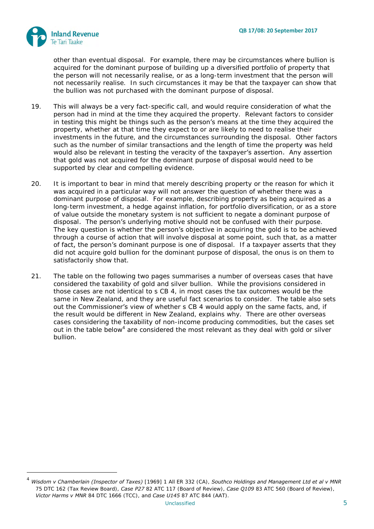

other than eventual disposal. For example, there may be circumstances where bullion is acquired for the dominant purpose of building up a diversified portfolio of property that the person will not necessarily realise, or as a long-term investment that the person will not necessarily realise. In such circumstances it may be that the taxpayer can show that the bullion was not purchased with the dominant purpose of disposal.

- 19. This will always be a very fact-specific call, and would require consideration of what the person had in mind at the time they acquired the property. Relevant factors to consider in testing this might be things such as the person's means at the time they acquired the property, whether at that time they expect to or are likely to need to realise their investments in the future, and the circumstances surrounding the disposal. Other factors such as the number of similar transactions and the length of time the property was held would also be relevant in testing the veracity of the taxpayer's assertion. Any assertion that gold was not acquired for the dominant purpose of disposal would need to be supported by clear and compelling evidence.
- 20. It is important to bear in mind that merely describing property or the reason for which it was acquired in a particular way will not answer the question of whether there was a dominant purpose of disposal. For example, describing property as being acquired as a long-term investment, a hedge against inflation, for portfolio diversification, or as a store of value outside the monetary system is not sufficient to negate a dominant purpose of disposal. The person's underlying motive should not be confused with their purpose. The key question is whether the person's objective in acquiring the gold is to be achieved through a course of action that will involve disposal at some point, such that, as a matter of fact, the person's dominant purpose is one of disposal. If a taxpayer asserts that they did not acquire gold bullion for the dominant purpose of disposal, the onus is on them to satisfactorily show that.
- 21. The table on the following two pages summarises a number of overseas cases that have considered the taxability of gold and silver bullion. While the provisions considered in those cases are not identical to s CB 4, in most cases the tax outcomes would be the same in New Zealand, and they are useful fact scenarios to consider. The table also sets out the Commissioner's view of whether s CB 4 would apply on the same facts, and, if the result would be different in New Zealand, explains why. There are other overseas cases considering the taxability of non-income producing commodities, but the cases set out in the table below<sup>4</sup> are considered the most relevant as they deal with gold or silver bullion.

<sup>4</sup> *Wisdom v Chamberlain (Inspector of Taxes)* [1969] 1 All ER 332 (CA), *Southco Holdings and Management Ltd et al v MNR* 75 DTC 162 (Tax Review Board), *Case P27* 82 ATC 117 (Board of Review), *Case Q109* 83 ATC 560 (Board of Review), *Victor Harms v MNR* 84 DTC 1666 (TCC), and *Case U145* 87 ATC 844 (AAT).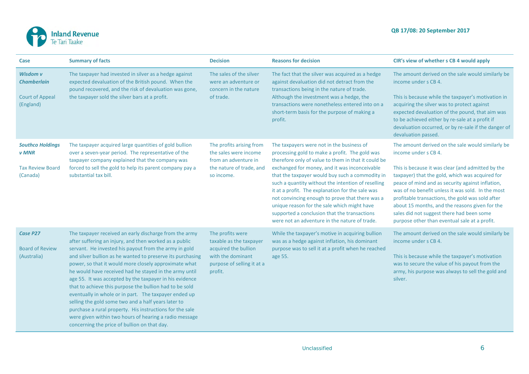

| Case                                                                           | <b>Summary of facts</b>                                                                                                                                                                                                                                                                                                                                                                                                                                                                                                                                                                                                                                                                                                                                                | <b>Decision</b>                                                                                                                   | <b>Reasons for decision</b>                                                                                                                                                                                                                                                                                                                                                                                                                                                                                                                                         | CIR's view of whether s CB 4 would apply                                                                                                                                                                                                                                                                                                                                                                                                                                                       |
|--------------------------------------------------------------------------------|------------------------------------------------------------------------------------------------------------------------------------------------------------------------------------------------------------------------------------------------------------------------------------------------------------------------------------------------------------------------------------------------------------------------------------------------------------------------------------------------------------------------------------------------------------------------------------------------------------------------------------------------------------------------------------------------------------------------------------------------------------------------|-----------------------------------------------------------------------------------------------------------------------------------|---------------------------------------------------------------------------------------------------------------------------------------------------------------------------------------------------------------------------------------------------------------------------------------------------------------------------------------------------------------------------------------------------------------------------------------------------------------------------------------------------------------------------------------------------------------------|------------------------------------------------------------------------------------------------------------------------------------------------------------------------------------------------------------------------------------------------------------------------------------------------------------------------------------------------------------------------------------------------------------------------------------------------------------------------------------------------|
| Wisdom v<br><b>Chamberlain</b><br><b>Court of Appeal</b><br>(England)          | The taxpayer had invested in silver as a hedge against<br>expected devaluation of the British pound. When the<br>pound recovered, and the risk of devaluation was gone,<br>the taxpayer sold the silver bars at a profit.                                                                                                                                                                                                                                                                                                                                                                                                                                                                                                                                              | The sales of the silver<br>were an adventure or<br>concern in the nature<br>of trade.                                             | The fact that the silver was acquired as a hedge<br>against devaluation did not detract from the<br>transactions being in the nature of trade.<br>Although the investment was a hedge, the<br>transactions were nonetheless entered into on a<br>short-term basis for the purpose of making a<br>profit.                                                                                                                                                                                                                                                            | The amount derived on the sale would similarly be<br>income under s CB 4.<br>This is because while the taxpayer's motivation in<br>acquiring the silver was to protect against<br>expected devaluation of the pound, that aim was<br>to be achieved either by re-sale at a profit if<br>devaluation occurred, or by re-sale if the danger of<br>devaluation passed.                                                                                                                            |
| <b>Southco Holdings</b><br><b>v</b> MNR<br><b>Tax Review Board</b><br>(Canada) | The taxpayer acquired large quantities of gold bullion<br>over a seven-year period. The representative of the<br>taxpayer company explained that the company was<br>forced to sell the gold to help its parent company pay a<br>substantial tax bill.                                                                                                                                                                                                                                                                                                                                                                                                                                                                                                                  | The profits arising from<br>the sales were income<br>from an adventure in<br>the nature of trade, and<br>so income.               | The taxpayers were not in the business of<br>processing gold to make a profit. The gold was<br>therefore only of value to them in that it could be<br>exchanged for money, and it was inconceivable<br>that the taxpayer would buy such a commodity in<br>such a quantity without the intention of reselling<br>it at a profit. The explanation for the sale was<br>not convincing enough to prove that there was a<br>unique reason for the sale which might have<br>supported a conclusion that the transactions<br>were not an adventure in the nature of trade. | The amount derived on the sale would similarly be<br>income under s CB 4.<br>This is because it was clear (and admitted by the<br>taxpayer) that the gold, which was acquired for<br>peace of mind and as security against inflation,<br>was of no benefit unless it was sold. In the most<br>profitable transactions, the gold was sold after<br>about 15 months, and the reasons given for the<br>sales did not suggest there had been some<br>purpose other than eventual sale at a profit. |
| Case P27<br><b>Board of Review</b><br>(Australia)                              | The taxpayer received an early discharge from the army<br>after suffering an injury, and then worked as a public<br>servant. He invested his payout from the army in gold<br>and silver bullion as he wanted to preserve its purchasing<br>power, so that it would more closely approximate what<br>he would have received had he stayed in the army until<br>age 55. It was accepted by the taxpayer in his evidence<br>that to achieve this purpose the bullion had to be sold<br>eventually in whole or in part. The taxpayer ended up<br>selling the gold some two and a half years later to<br>purchase a rural property. His instructions for the sale<br>were given within two hours of hearing a radio message<br>concerning the price of bullion on that day. | The profits were<br>taxable as the taxpayer<br>acquired the bullion<br>with the dominant<br>purpose of selling it at a<br>profit. | While the taxpayer's motive in acquiring bullion<br>was as a hedge against inflation, his dominant<br>purpose was to sell it at a profit when he reached<br>age 55.                                                                                                                                                                                                                                                                                                                                                                                                 | The amount derived on the sale would similarly be<br>income under s CB 4.<br>This is because while the taxpayer's motivation<br>was to secure the value of his payout from the<br>army, his purpose was always to sell the gold and<br>silver.                                                                                                                                                                                                                                                 |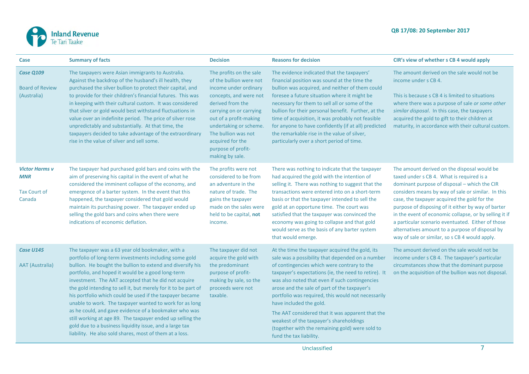

| Case                                                          | <b>Summary of facts</b>                                                                                                                                                                                                                                                                                                                                                                                                                                                                                                                                                                                                                                                                                                     | <b>Decision</b>                                                                                                                                                                                                                                                                              | <b>Reasons for decision</b>                                                                                                                                                                                                                                                                                                                                                                                                                                                                                                                                                | CIR's view of whether s CB 4 would apply                                                                                                                                                                                                                                                                                                                                                                                                                                                                                 |
|---------------------------------------------------------------|-----------------------------------------------------------------------------------------------------------------------------------------------------------------------------------------------------------------------------------------------------------------------------------------------------------------------------------------------------------------------------------------------------------------------------------------------------------------------------------------------------------------------------------------------------------------------------------------------------------------------------------------------------------------------------------------------------------------------------|----------------------------------------------------------------------------------------------------------------------------------------------------------------------------------------------------------------------------------------------------------------------------------------------|----------------------------------------------------------------------------------------------------------------------------------------------------------------------------------------------------------------------------------------------------------------------------------------------------------------------------------------------------------------------------------------------------------------------------------------------------------------------------------------------------------------------------------------------------------------------------|--------------------------------------------------------------------------------------------------------------------------------------------------------------------------------------------------------------------------------------------------------------------------------------------------------------------------------------------------------------------------------------------------------------------------------------------------------------------------------------------------------------------------|
| Case Q109<br><b>Board of Review</b><br>(Australia)            | The taxpayers were Asian immigrants to Australia.<br>Against the backdrop of the husband's ill health, they<br>purchased the silver bullion to protect their capital, and<br>to provide for their children's financial futures. This was<br>in keeping with their cultural custom. It was considered<br>that silver or gold would best withstand fluctuations in<br>value over an indefinite period. The price of silver rose<br>unpredictably and substantially. At that time, the<br>taxpayers decided to take advantage of the extraordinary<br>rise in the value of silver and sell some.                                                                                                                               | The profits on the sale<br>of the bullion were not<br>income under ordinary<br>concepts, and were not<br>derived from the<br>carrying on or carrying<br>out of a profit-making<br>undertaking or scheme.<br>The bullion was not<br>acquired for the<br>purpose of profit-<br>making by sale. | The evidence indicated that the taxpayers'<br>financial position was sound at the time the<br>bullion was acquired, and neither of them could<br>foresee a future situation where it might be<br>necessary for them to sell all or some of the<br>bullion for their personal benefit. Further, at the<br>time of acquisition, it was probably not feasible<br>for anyone to have confidently (if at all) predicted<br>the remarkable rise in the value of silver,<br>particularly over a short period of time.                                                             | The amount derived on the sale would not be<br>income under s CB 4.<br>This is because s CB 4 is limited to situations<br>where there was a purpose of sale or some other<br>similar disposal. In this case, the taxpayers<br>acquired the gold to gift to their children at<br>maturity, in accordance with their cultural custom.                                                                                                                                                                                      |
| <b>Victor Harms v</b><br><b>MNR</b><br>Tax Court of<br>Canada | The taxpayer had purchased gold bars and coins with the<br>aim of preserving his capital in the event of what he<br>considered the imminent collapse of the economy, and<br>emergence of a barter system. In the event that this<br>happened, the taxpayer considered that gold would<br>maintain its purchasing power. The taxpayer ended up<br>selling the gold bars and coins when there were<br>indications of economic deflation.                                                                                                                                                                                                                                                                                      | The profits were not<br>considered to be from<br>an adventure in the<br>nature of trade. The<br>gains the taxpayer<br>made on the sales were<br>held to be capital, not<br>income.                                                                                                           | There was nothing to indicate that the taxpayer<br>had acquired the gold with the intention of<br>selling it. There was nothing to suggest that the<br>transactions were entered into on a short-term<br>basis or that the taxpayer intended to sell the<br>gold at an opportune time. The court was<br>satisfied that the taxpayer was convinced the<br>economy was going to collapse and that gold<br>would serve as the basis of any barter system<br>that would emerge.                                                                                                | The amount derived on the disposal would be<br>taxed under s CB 4. What is required is a<br>dominant purpose of disposal - which the CIR<br>considers means by way of sale or similar. In this<br>case, the taxpayer acquired the gold for the<br>purpose of disposing of it either by way of barter<br>in the event of economic collapse, or by selling it if<br>a particular scenario eventuated. Either of those<br>alternatives amount to a purpose of disposal by<br>way of sale or similar, so s CB 4 would apply. |
| Case U145<br><b>AAT</b> (Australia)                           | The taxpayer was a 63 year old bookmaker, with a<br>portfolio of long-term investments including some gold<br>bullion. He bought the bullion to extend and diversify his<br>portfolio, and hoped it would be a good long-term<br>investment. The AAT accepted that he did not acquire<br>the gold intending to sell it, but merely for it to be part of<br>his portfolio which could be used if the taxpayer became<br>unable to work. The taxpayer wanted to work for as long<br>as he could, and gave evidence of a bookmaker who was<br>still working at age 89. The taxpayer ended up selling the<br>gold due to a business liquidity issue, and a large tax<br>liability. He also sold shares, most of them at a loss. | The taxpayer did not<br>acquire the gold with<br>the predominant<br>purpose of profit-<br>making by sale, so the<br>proceeds were not<br>taxable.                                                                                                                                            | At the time the taxpayer acquired the gold, its<br>sale was a possibility that depended on a number<br>of contingencies which were contrary to the<br>taxpayer's expectations (ie, the need to retire). It<br>was also noted that even if such contingencies<br>arose and the sale of part of the taxpayer's<br>portfolio was required, this would not necessarily<br>have included the gold.<br>The AAT considered that it was apparent that the<br>weakest of the taxpayer's shareholdings<br>(together with the remaining gold) were sold to<br>fund the tax liability. | The amount derived on the sale would not be<br>income under s CB 4. The taxpayer's particular<br>circumstances show that the dominant purpose<br>on the acquisition of the bullion was not disposal.                                                                                                                                                                                                                                                                                                                     |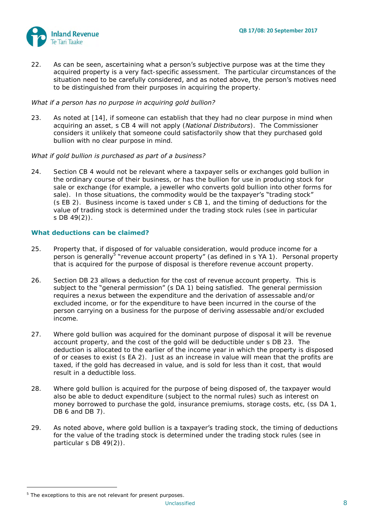

22. As can be seen, ascertaining what a person's subjective purpose was at the time they acquired property is a very fact-specific assessment. The particular circumstances of the situation need to be carefully considered, and as noted above, the person's motives need to be distinguished from their purposes in acquiring the property.

#### *What if a person has no purpose in acquiring gold bullion?*

23. As noted at [\[14\]](#page-3-0), if someone can establish that they had no clear purpose in mind when acquiring an asset, s CB 4 will not apply (*National Distributors*). The Commissioner considers it unlikely that someone could satisfactorily show that they purchased gold bullion with no clear purpose in mind.

#### *What if gold bullion is purchased as part of a business?*

24. Section CB 4 would not be relevant where a taxpayer sells or exchanges gold bullion in the ordinary course of their business, or has the bullion for use in producing stock for sale or exchange (for example, a jeweller who converts gold bullion into other forms for sale). In those situations, the commodity would be the taxpayer's "trading stock" (s EB 2). Business income is taxed under s CB 1, and the timing of deductions for the value of trading stock is determined under the trading stock rules (see in particular s DB 49(2)).

#### **What deductions can be claimed?**

- 25. Property that, if disposed of for valuable consideration, would produce income for a person is generally<sup>5</sup> "revenue account property" (as defined in s YA 1). Personal property that is acquired for the purpose of disposal is therefore revenue account property.
- 26. Section DB 23 allows a deduction for the cost of revenue account property. This is subject to the "general permission" (s DA 1) being satisfied. The general permission requires a nexus between the expenditure and the derivation of assessable and/or excluded income, or for the expenditure to have been incurred in the course of the person carrying on a business for the purpose of deriving assessable and/or excluded income.
- 27. Where gold bullion was acquired for the dominant purpose of disposal it will be revenue account property, and the cost of the gold will be deductible under s DB 23. The deduction is allocated to the earlier of the income year in which the property is disposed of or ceases to exist (s EA 2). Just as an increase in value will mean that the profits are taxed, if the gold has decreased in value, and is sold for less than it cost, that would result in a deductible loss.
- 28. Where gold bullion is acquired for the purpose of being disposed of, the taxpayer would also be able to deduct expenditure (subject to the normal rules) such as interest on money borrowed to purchase the gold, insurance premiums, storage costs, etc, (ss DA 1, DB 6 and DB 7).
- 29. As noted above, where gold bullion is a taxpayer's trading stock, the timing of deductions for the value of the trading stock is determined under the trading stock rules (see in particular s DB 49(2)).

1

<sup>&</sup>lt;sup>5</sup> The exceptions to this are not relevant for present purposes.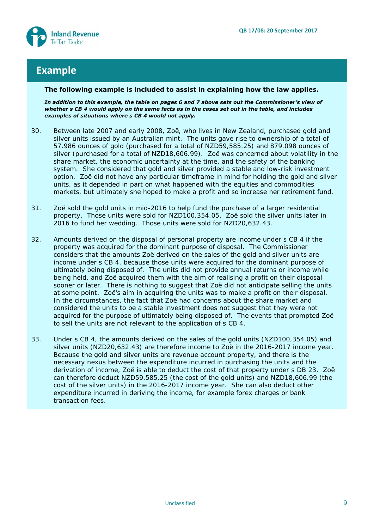

## **Example**

#### **The following example is included to assist in explaining how the law applies.**

*In addition to this example, the table on pages 6 and 7 above sets out the Commissioner's view of whether s CB 4 would apply on the same facts as in the cases set out in the table, and includes examples of situations where s CB 4 would not apply.* 

- 30. Between late 2007 and early 2008, Zoë, who lives in New Zealand, purchased gold and silver units issued by an Australian mint. The units gave rise to ownership of a total of 57.986 ounces of gold (purchased for a total of NZD59,585.25) and 879.098 ounces of silver (purchased for a total of NZD18,606.99). Zoë was concerned about volatility in the share market, the economic uncertainty at the time, and the safety of the banking system. She considered that gold and silver provided a stable and low-risk investment option. Zoë did not have any particular timeframe in mind for holding the gold and silver units, as it depended in part on what happened with the equities and commodities markets, but ultimately she hoped to make a profit and so increase her retirement fund.
- 31. Zoë sold the gold units in mid-2016 to help fund the purchase of a larger residential property. Those units were sold for NZD100,354.05. Zoë sold the silver units later in 2016 to fund her wedding. Those units were sold for NZD20,632.43.
- 32. Amounts derived on the disposal of personal property are income under s CB 4 if the property was acquired for the dominant purpose of disposal. The Commissioner considers that the amounts Zoë derived on the sales of the gold and silver units are income under s CB 4, because those units were acquired for the dominant purpose of ultimately being disposed of. The units did not provide annual returns or income while being held, and Zoë acquired them with the aim of realising a profit on their disposal sooner or later. There is nothing to suggest that Zoë did not anticipate selling the units at some point. Zoe's aim in acquiring the units was to make a profit on their disposal. In the circumstances, the fact that Zoë had concerns about the share market and considered the units to be a stable investment does not suggest that they were not acquired for the purpose of ultimately being disposed of. The events that prompted Zoë to sell the units are not relevant to the application of s CB 4.
- 33. Under s CB 4, the amounts derived on the sales of the gold units (NZD100,354.05) and silver units (NZD20,632.43) are therefore income to Zoë in the 2016-2017 income year. Because the gold and silver units are revenue account property, and there is the necessary nexus between the expenditure incurred in purchasing the units and the derivation of income, Zoë is able to deduct the cost of that property under s DB 23. Zoë can therefore deduct NZD59,585.25 (the cost of the gold units) and NZD18,606.99 (the cost of the silver units) in the 2016-2017 income year. She can also deduct other expenditure incurred in deriving the income, for example forex charges or bank transaction fees.